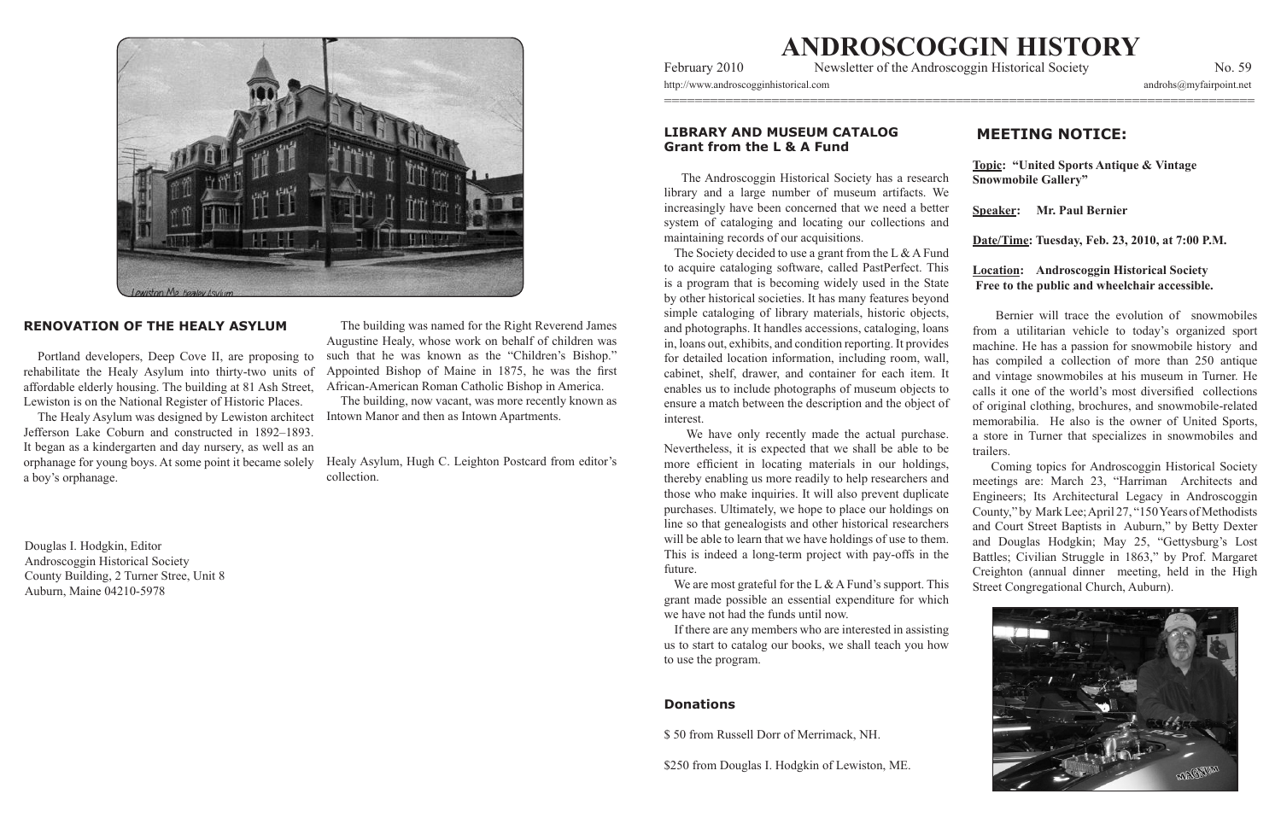

# **RENOVATION OF THE HEALY ASYLUM**

Portland developers, Deep Cove II, are proposing to rehabilitate the Healy Asylum into thirty-two units of affordable elderly housing. The building at 81 Ash Street, Lewiston is on the National Register of Historic Places.

The Healy Asylum was designed by Lewiston architect Jefferson Lake Coburn and constructed in 1892–1893. It began as a kindergarten and day nursery, as well as an orphanage for young boys. At some point it became solely a boy's orphanage.

Douglas I. Hodgkin, Editor Androscoggin Historical Society County Building, 2 Turner Stree, Unit 8 Auburn, Maine 04210-5978

The building was named for the Right Reverend James Augustine Healy, whose work on behalf of children was such that he was known as the "Children's Bishop." Appointed Bishop of Maine in 1875, he was the first African-American Roman Catholic Bishop in America.

The building, now vacant, was more recently known as Intown Manor and then as Intown Apartments.

## **Donations**

\$50 from Russell Dorr of Merrimack, NH.

\$250 from Douglas I. Hodgkin of Lewiston, ME.

# **MEETING NOTICE:**



Healy Asylum, Hugh C. Leighton Postcard from editor's collection.

# **ANDROSCOGGIN!HISTORY**

=============================================================================

February 2010 Newsletter of the Androscoggin Historical Society No. 59

http://www.androscogginhistorical.com androhs@myfairpoint.net

# LIBRARY AND MUSEUM CATALOG **Grant from the L & A Fund**

The Androscoggin Historical Society has a research library and a large number of museum artifacts. We increasingly have been concerned that we need a better system of cataloging and locating our collections and maintaining records of our acquisitions. The Society decided to use a grant from the L  $&$  A Fund to acquire cataloging software, called PastPerfect. This is a program that is becoming widely used in the State by other historical societies. It has many features beyond simple cataloging of library materials, historic objects, and photographs. It handles accessions, cataloging, loans in, loans out, exhibits, and condition reporting. It provides for detailed location information, including room, wall, cabinet, shelf, drawer, and container for each item. It enables us to include photographs of museum objects to ensure a match between the description and the object of interest. We have only recently made the actual purchase. **Topic: "United Sports Antique & Vintage Snowmobile Gallery" Speaker:** Mr. Paul Bernier Date/Time: Tuesday, Feb. 23, 2010, at 7:00 P.M. **Location:** Androscoggin Historical Society **Free to the public and wheelchair accessible.** Bernier will trace the evolution of snowmobiles from a utilitarian vehicle to today's organized sport machine. He has a passion for snowmobile history and has compiled a collection of more than 250 antique and vintage snowmobiles at his museum in Turner. He calls it one of the world's most diversified collections of original clothing, brochures, and snowmobile-related memorabilia. He also is the owner of United Sports, trailers.

Nevertheless, it is expected that we shall be able to be more efficient in locating materials in our holdings, thereby enabling us more readily to help researchers and those who make inquiries. It will also prevent duplicate purchases. Ultimately, we hope to place our holdings on line so that genealogists and other historical researchers will be able to learn that we have holdings of use to them. This is indeed a long-term project with pay-offs in the future. We are most grateful for the L & A Fund's support. This grant made possible an essential expenditure for which a store in Turner that specializes in snowmobiles and Coming topics for Androscoggin Historical Society meetings are: March 23, "Harriman Architects and Engineers; Its Architectural Legacy in Androscoggin County," by Mark Lee; April 27, "150 Years of Methodists and Court Street Baptists in Auburn," by Betty Dexter and Douglas Hodgkin; May 25, "Gettysburg's Lost Battles; Civilian Struggle in 1863," by Prof. Margaret Creighton (annual dinner meeting, held in the High Street Congregational Church, Auburn).

we have not had the funds until now.

If there are any members who are interested in assisting. us to start to catalog our books, we shall teach you how to use the program.